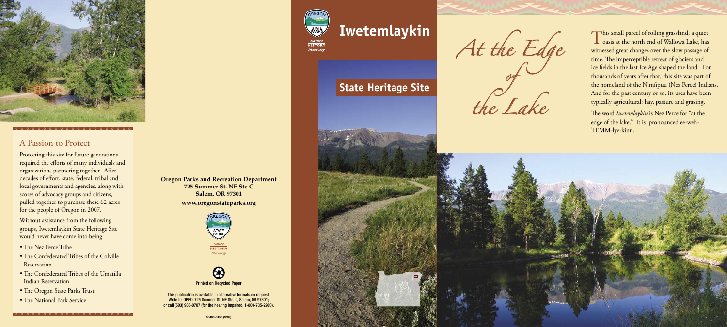# **Iwetemlaykin**

**Oregon Parks and Recreation Department 725 Summer St. NE Ste C Salem, OR 97301**

#### **www.oregonstateparks.org**





Printed on Recycled Paper

This publication is available in alternative formats on request. Write to: OPRD, 725 Summer St. NE Ste. C, Salem, OR 97301; or call (503) 986-0707 (for the hearing impaired, 1-800-735-2900).



Discovery



## A Passion to Protect

Protecting this site for future generations required the efforts of many individuals and organizations partnering together. After decades of effort, state, federal, tribal and local governments and agencies, along with scores of advocacy groups and citizens, pulled together to purchase these 62 acres for the people of Oregon in 2007.

Without assistance from the following groups, Iwetemlaykin State Heritage Site would never have come into being:

- The Nez Perce Tribe
- The Confederated Tribes of the Colville Reservation
- The Confederated Tribes of the Umatilla Indian Reservation
- The Oregon State Parks Trust
- The National Park Service

This small parcel of rolling grassland, a quiet<br>
oasis at the north end of Wallowa Lake, has witnessed great changes over the slow passage of time. The imperceptible retreat of glaciers and ice fields in the last Ice Age shaped the land. For thousands of years after that, this site was part of the homeland of the Nimíipuu (Nez Perce) Indians. And for the past century or so, its uses have been typically agricultural: hay, pasture and grazing.

# **State Heritage Site**



The word *Iwetemlaykin* is Nez Perce for "at the edge of the lake." It is pronounced ee-weh-TEMM-lye-kinn.



*At the Edge of the Lake*